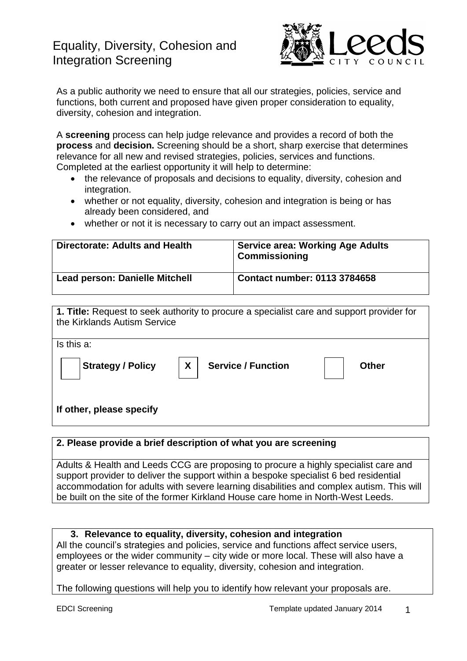# Equality, Diversity, Cohesion and Integration Screening



As a public authority we need to ensure that all our strategies, policies, service and functions, both current and proposed have given proper consideration to equality, diversity, cohesion and integration.

A **screening** process can help judge relevance and provides a record of both the **process** and **decision.** Screening should be a short, sharp exercise that determines relevance for all new and revised strategies, policies, services and functions. Completed at the earliest opportunity it will help to determine:

- the relevance of proposals and decisions to equality, diversity, cohesion and integration.
- whether or not equality, diversity, cohesion and integration is being or has already been considered, and
- whether or not it is necessary to carry out an impact assessment.

| Directorate: Adults and Health | <b>Service area: Working Age Adults</b><br><b>Commissioning</b> |
|--------------------------------|-----------------------------------------------------------------|
| Lead person: Danielle Mitchell | Contact number: 0113 3784658                                    |

| 1. Title: Request to seek authority to procure a specialist care and support provider for<br>the Kirklands Autism Service |  |  |  |  |
|---------------------------------------------------------------------------------------------------------------------------|--|--|--|--|
| Is this a:                                                                                                                |  |  |  |  |
| X<br><b>Service / Function</b><br><b>Strategy / Policy</b><br><b>Other</b>                                                |  |  |  |  |
| If other, please specify                                                                                                  |  |  |  |  |

## **2. Please provide a brief description of what you are screening**

Adults & Health and Leeds CCG are proposing to procure a highly specialist care and support provider to deliver the support within a bespoke specialist 6 bed residential accommodation for adults with severe learning disabilities and complex autism. This will be built on the site of the former Kirkland House care home in North-West Leeds.

## **3. Relevance to equality, diversity, cohesion and integration**

All the council's strategies and policies, service and functions affect service users, employees or the wider community – city wide or more local. These will also have a greater or lesser relevance to equality, diversity, cohesion and integration.

The following questions will help you to identify how relevant your proposals are.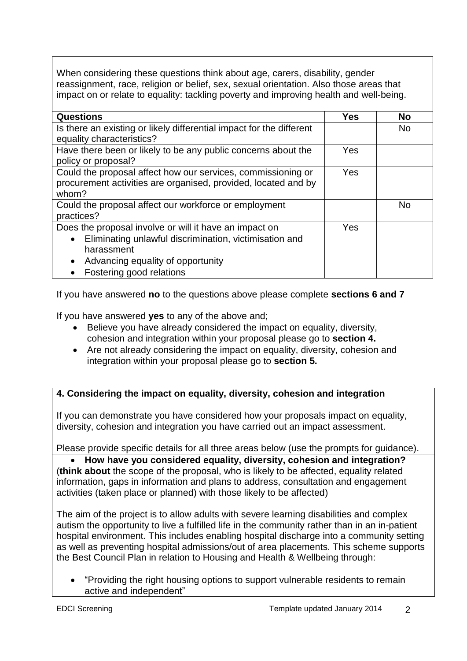When considering these questions think about age, carers, disability, gender reassignment, race, religion or belief, sex, sexual orientation. Also those areas that impact on or relate to equality: tackling poverty and improving health and well-being.

| <b>Questions</b>                                                     | Yes | <b>No</b> |
|----------------------------------------------------------------------|-----|-----------|
| Is there an existing or likely differential impact for the different |     | <b>No</b> |
| equality characteristics?                                            |     |           |
| Have there been or likely to be any public concerns about the        | Yes |           |
| policy or proposal?                                                  |     |           |
| Could the proposal affect how our services, commissioning or         | Yes |           |
| procurement activities are organised, provided, located and by       |     |           |
| whom?                                                                |     |           |
| Could the proposal affect our workforce or employment                |     | <b>No</b> |
| practices?                                                           |     |           |
| Does the proposal involve or will it have an impact on               | Yes |           |
| Eliminating unlawful discrimination, victimisation and<br>$\bullet$  |     |           |
| harassment                                                           |     |           |
| Advancing equality of opportunity<br>$\bullet$                       |     |           |
| Fostering good relations                                             |     |           |

If you have answered **no** to the questions above please complete **sections 6 and 7**

If you have answered **yes** to any of the above and;

- Believe you have already considered the impact on equality, diversity, cohesion and integration within your proposal please go to **section 4.**
- Are not already considering the impact on equality, diversity, cohesion and integration within your proposal please go to **section 5.**

# **4. Considering the impact on equality, diversity, cohesion and integration**

If you can demonstrate you have considered how your proposals impact on equality, diversity, cohesion and integration you have carried out an impact assessment.

Please provide specific details for all three areas below (use the prompts for guidance).

 **How have you considered equality, diversity, cohesion and integration?** (**think about** the scope of the proposal, who is likely to be affected, equality related information, gaps in information and plans to address, consultation and engagement activities (taken place or planned) with those likely to be affected)

The aim of the project is to allow adults with severe learning disabilities and complex autism the opportunity to live a fulfilled life in the community rather than in an in-patient hospital environment. This includes enabling hospital discharge into a community setting as well as preventing hospital admissions/out of area placements. This scheme supports the Best Council Plan in relation to Housing and Health & Wellbeing through:

 "Providing the right housing options to support vulnerable residents to remain active and independent"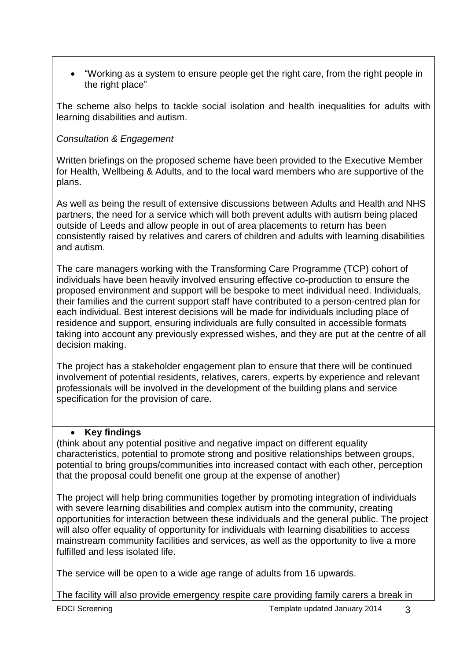"Working as a system to ensure people get the right care, from the right people in the right place"

The scheme also helps to tackle social isolation and health inequalities for adults with learning disabilities and autism.

# *Consultation & Engagement*

Written briefings on the proposed scheme have been provided to the Executive Member for Health, Wellbeing & Adults, and to the local ward members who are supportive of the plans.

As well as being the result of extensive discussions between Adults and Health and NHS partners, the need for a service which will both prevent adults with autism being placed outside of Leeds and allow people in out of area placements to return has been consistently raised by relatives and carers of children and adults with learning disabilities and autism.

The care managers working with the Transforming Care Programme (TCP) cohort of individuals have been heavily involved ensuring effective co-production to ensure the proposed environment and support will be bespoke to meet individual need. Individuals, their families and the current support staff have contributed to a person-centred plan for each individual. Best interest decisions will be made for individuals including place of residence and support, ensuring individuals are fully consulted in accessible formats taking into account any previously expressed wishes, and they are put at the centre of all decision making.

The project has a stakeholder engagement plan to ensure that there will be continued involvement of potential residents, relatives, carers, experts by experience and relevant professionals will be involved in the development of the building plans and service specification for the provision of care.

## **Key findings**

(think about any potential positive and negative impact on different equality characteristics, potential to promote strong and positive relationships between groups, potential to bring groups/communities into increased contact with each other, perception that the proposal could benefit one group at the expense of another)

The project will help bring communities together by promoting integration of individuals with severe learning disabilities and complex autism into the community, creating opportunities for interaction between these individuals and the general public. The project will also offer equality of opportunity for individuals with learning disabilities to access mainstream community facilities and services, as well as the opportunity to live a more fulfilled and less isolated life.

The service will be open to a wide age range of adults from 16 upwards.

The facility will also provide emergency respite care providing family carers a break in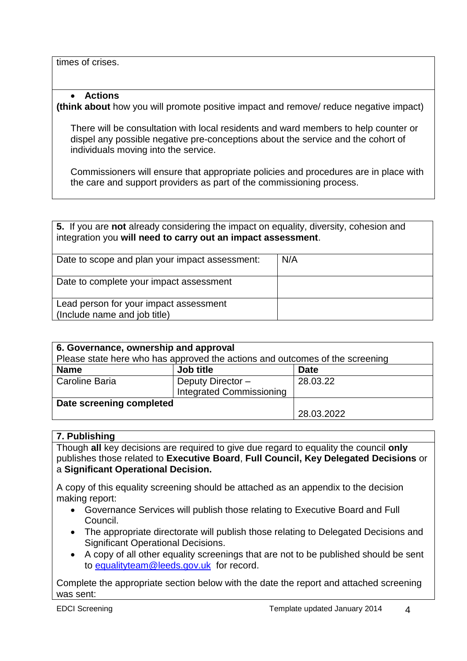times of crises.

#### **Actions**

**(think about** how you will promote positive impact and remove/ reduce negative impact)

There will be consultation with local residents and ward members to help counter or dispel any possible negative pre-conceptions about the service and the cohort of individuals moving into the service.

Commissioners will ensure that appropriate policies and procedures are in place with the care and support providers as part of the commissioning process.

| 5. If you are not already considering the impact on equality, diversity, cohesion and<br>integration you will need to carry out an impact assessment. |     |  |
|-------------------------------------------------------------------------------------------------------------------------------------------------------|-----|--|
| Date to scope and plan your impact assessment:                                                                                                        | N/A |  |
| Date to complete your impact assessment                                                                                                               |     |  |
| Lead person for your impact assessment<br>(Include name and job title)                                                                                |     |  |

| 6. Governance, ownership and approval                                        |                                                     |             |  |  |
|------------------------------------------------------------------------------|-----------------------------------------------------|-------------|--|--|
| Please state here who has approved the actions and outcomes of the screening |                                                     |             |  |  |
| <b>Name</b>                                                                  | Job title                                           | <b>Date</b> |  |  |
| Caroline Baria                                                               | Deputy Director-<br><b>Integrated Commissioning</b> | 28.03.22    |  |  |
| Date screening completed                                                     |                                                     |             |  |  |
|                                                                              |                                                     | 28.03.2022  |  |  |

#### **7. Publishing**

Though **all** key decisions are required to give due regard to equality the council **only** publishes those related to **Executive Board**, **Full Council, Key Delegated Decisions** or a **Significant Operational Decision.**

A copy of this equality screening should be attached as an appendix to the decision making report:

- Governance Services will publish those relating to Executive Board and Full Council.
- The appropriate directorate will publish those relating to Delegated Decisions and Significant Operational Decisions.
- A copy of all other equality screenings that are not to be published should be sent to [equalityteam@leeds.gov.uk](mailto:equalityteam@leeds.gov.uk) for record.

Complete the appropriate section below with the date the report and attached screening was sent: